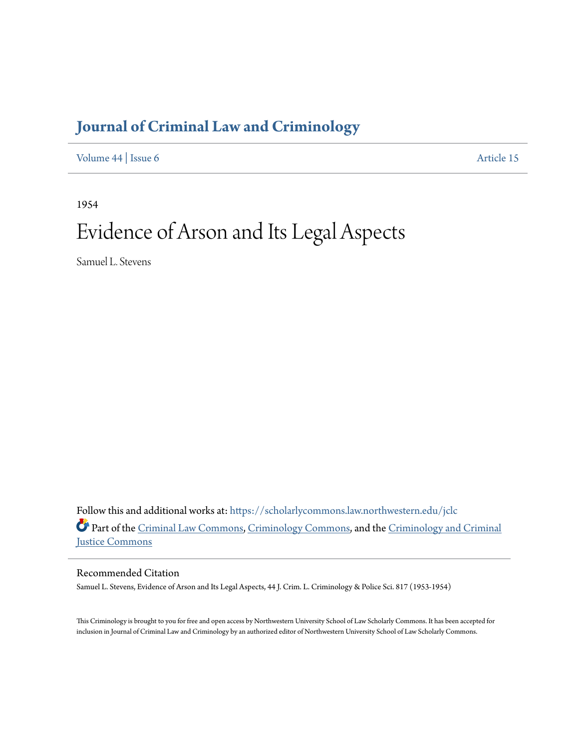## **[Journal of Criminal Law and Criminology](https://scholarlycommons.law.northwestern.edu/jclc?utm_source=scholarlycommons.law.northwestern.edu%2Fjclc%2Fvol44%2Fiss6%2F15&utm_medium=PDF&utm_campaign=PDFCoverPages)**

[Volume 44](https://scholarlycommons.law.northwestern.edu/jclc/vol44?utm_source=scholarlycommons.law.northwestern.edu%2Fjclc%2Fvol44%2Fiss6%2F15&utm_medium=PDF&utm_campaign=PDFCoverPages) | [Issue 6](https://scholarlycommons.law.northwestern.edu/jclc/vol44/iss6?utm_source=scholarlycommons.law.northwestern.edu%2Fjclc%2Fvol44%2Fiss6%2F15&utm_medium=PDF&utm_campaign=PDFCoverPages) [Article 15](https://scholarlycommons.law.northwestern.edu/jclc/vol44/iss6/15?utm_source=scholarlycommons.law.northwestern.edu%2Fjclc%2Fvol44%2Fiss6%2F15&utm_medium=PDF&utm_campaign=PDFCoverPages)

1954

## Evidence of Arson and Its Legal Aspects

Samuel L. Stevens

Follow this and additional works at: [https://scholarlycommons.law.northwestern.edu/jclc](https://scholarlycommons.law.northwestern.edu/jclc?utm_source=scholarlycommons.law.northwestern.edu%2Fjclc%2Fvol44%2Fiss6%2F15&utm_medium=PDF&utm_campaign=PDFCoverPages) Part of the [Criminal Law Commons](http://network.bepress.com/hgg/discipline/912?utm_source=scholarlycommons.law.northwestern.edu%2Fjclc%2Fvol44%2Fiss6%2F15&utm_medium=PDF&utm_campaign=PDFCoverPages), [Criminology Commons](http://network.bepress.com/hgg/discipline/417?utm_source=scholarlycommons.law.northwestern.edu%2Fjclc%2Fvol44%2Fiss6%2F15&utm_medium=PDF&utm_campaign=PDFCoverPages), and the [Criminology and Criminal](http://network.bepress.com/hgg/discipline/367?utm_source=scholarlycommons.law.northwestern.edu%2Fjclc%2Fvol44%2Fiss6%2F15&utm_medium=PDF&utm_campaign=PDFCoverPages) [Justice Commons](http://network.bepress.com/hgg/discipline/367?utm_source=scholarlycommons.law.northwestern.edu%2Fjclc%2Fvol44%2Fiss6%2F15&utm_medium=PDF&utm_campaign=PDFCoverPages)

Recommended Citation

Samuel L. Stevens, Evidence of Arson and Its Legal Aspects, 44 J. Crim. L. Criminology & Police Sci. 817 (1953-1954)

This Criminology is brought to you for free and open access by Northwestern University School of Law Scholarly Commons. It has been accepted for inclusion in Journal of Criminal Law and Criminology by an authorized editor of Northwestern University School of Law Scholarly Commons.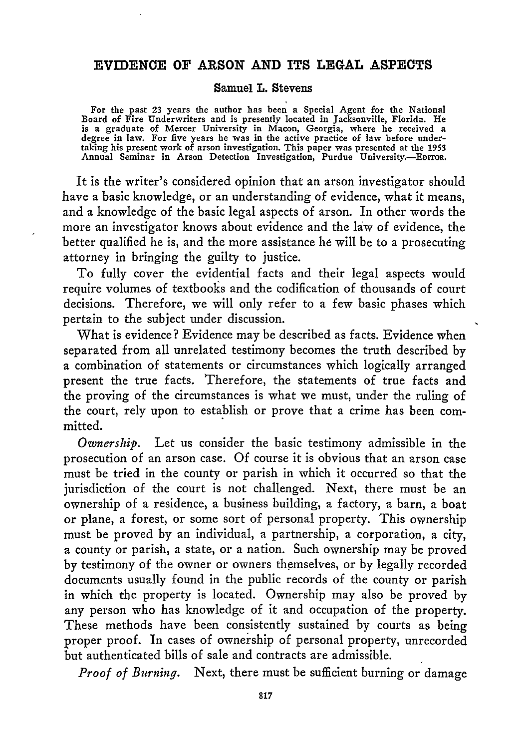## **EVIDENCE OF ARSON AND ITS LEGAL ASPECTS**

## **Samuel L. Stevens**

For the past 23 years the author has been a Special Agent for the National **Board of Fire Underwriters and is presently located in Jacksonville, Florida. He is a graduate of Mercer University in Macon, Georgia, where he received a degree in law. For five years he was in the active practice of law before undertaking his present work of arson investigation. This paper was presented at the 1953 Annual Seminar in Arson Detection Investigation, Purdue University.-EDITOR.**

It is the writer's considered opinion that an arson investigator should have a basic knowledge, or an understanding of evidence, what it means, and a knowledge of the basic legal aspects of arson. In other words the more an investigator knows about evidence and the law of evidence, the better qualified he is, and the more assistance he will be to a prosecuting attorney in bringing the guilty to justice.

To fully cover the evidential facts and their legal aspects would require volumes of textbooks and the codification of thousands of court decisions. Therefore, we will only refer to a few basic phases which pertain to the subject under discussion.

What is evidence? Evidence may be described as facts. Evidence when separated from all unrelated testimony becomes the truth described **by** a combination of statements or circumstances which logically arranged present the true facts. Therefore, the statements of true facts and the proving of the circumstances is what we must, under the ruling of the court, rely upon to establish or prove that a crime has been committed.

*Ownership.* Let us consider the basic testimony admissible in the prosecution of an arson case. Of course it is obvious that an arson case must be tried in the county or parish in which it occurred so that the jurisdiction of the court is not challenged. Next, there must be an ownership of a residence, a business building, a factory, a barn, a boat or plane, a forest, or some sort of personal property. This ownership must be proved **by** an individual, a partnership, a corporation, a city, a county or parish, a state, or a nation. Such ownership may be proved **by** testimony of the owner or owners themselves, or **by** legally recorded documents usually found in the public records of the county or parish in which the property is located. Ownership may also be proved **by** any person who has knowledge of it and occupation of the property. These methods have been consistently sustained **by** courts as being proper proof. In cases of ownership of personal property, unrecorded but authenticated bills of sale and contracts are admissible.

*Proof of Burning.* Next, there must be sufficient burning or damage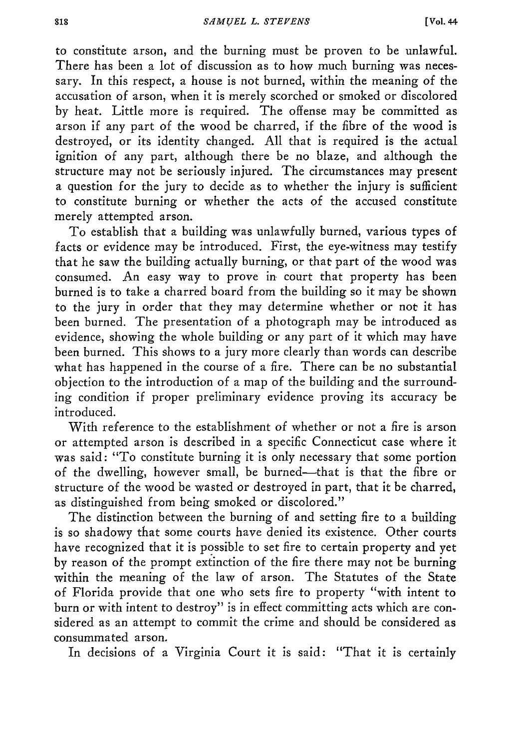to constitute arson, and the burning must be proven to be unlawful. There has been a lot of discussion as to how much burning was necessary. In this respect, a house is not burned, within the meaning of the accusation of arson, when it is merely scorched or smoked or discolored by heat. Little more is required. The offense may be committed as arson if any part of the wood be charred, if the fibre of the wood is destroyed, or its identity changed. All that is required is the actual ignition of any part, although there be no blaze, and although the structure may not be seriously injured. The circumstances may present a question for the jury to decide as to whether the injury is sufficient to constitute burning or whether the acts of the accused constitute merely attempted arson.

To establish that a building was unlawfully burned, various types of facts or evidence may be introduced. First, the eye-witness may testify that he saw the building actually burning, or that part of the wood was consumed. An easy way to prove in court that property has been burned is to take a charred board from the building so it may be shown to the jury in order that they may determine whether or not it has been burned. The presentation of a photograph may be introduced as evidence, showing the whole building or any part of it which may have been burned. This shows to a jury more clearly than words can describe what has happened in the course of a fire. There can be no substantial objection to the introduction of a map of the building and the surrounding condition if proper preliminary evidence proving its accuracy be introduced.

With reference to the establishment of whether or not a fire is arson or attempted arson is described in a specific Connecticut case where it was said: "To constitute burning it is only necessary that some portion of the dwelling, however small, be burned-that is that the fibre or structure of the wood be wasted or destroyed in part, that it be charred, as distinguished from being smoked or discolored."

The distinction between the burning of and setting fire to a building is so shadowy that some courts have denied its existence. Other courts have recognized that it is possible to set fire to certain property and yet by reason of the prompt extinction of the fire there may not be burning within the meaning of the law of arson. The Statutes of the State of Florida provide that one who sets fire to property "with intent to burn or with intent to destroy" is in effect committing acts which are considered as an attempt to commit the crime and should be considered as consummated arson.

In decisions of a Virginia Court it is said: "That it is certainly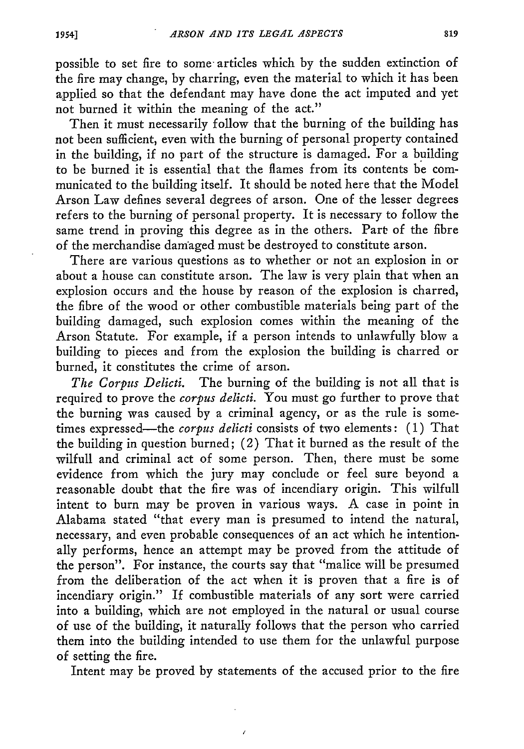possible to set fire to some articles which by the sudden extinction of the fire may change, by charring, even the material to which it has been applied so that the defendant may have done the act imputed and yet not burned it within the meaning of the act."

Then it must necessarily follow that the burning of the building has not been sufficient, even with the burning of personal property contained in the building, if no part of the structure is damaged. For a building to be burned it is essential that the flames from its contents be communicated to the building itself. It should be noted here that the Model Arson Law defines several degrees of arson. One of the lesser degrees refers to the burning of personal property. It is necessary to follow the same trend in proving this degree as in the others. Part of the fibre of the merchandise damaged must be destroyed to constitute arson.

There are various questions as to whether or not an explosion in or about a house can constitute arson. The law is very plain that when an explosion occurs and the house by reason of the explosion is charred, the fibre of the wood or other combustible materials being part of the building damaged, such explosion comes within the meaning of the Arson Statute. For example, if a person intends to unlawfully blow a building to pieces and from the explosion the building is charred or burned, it constitutes the crime of arson.

*The Corpus Delicti.* The burning of the building is not all that is required to prove the *corpus delicti.* You must go further to prove that the burning was caused by a criminal agency, or as the rule is sometimes expressed-the *corpus delicti* consists of two elements: (1) That the building in question burned; (2) That it burned as the result of the wilfull and criminal act of some person. Then, there must be some evidence from which the jury may conclude or feel sure beyond a reasonable doubt that the fire was of incendiary origin. This wilfull intent to burn may be proven in various ways. A case in point in Alabama stated "that every man is presumed to intend the natural, necessary, and even probable consequences of an act which he intentionally performs, hence an attempt may be proved from the attitude of the person". For instance, the courts say that "malice will be presumed from the deliberation of the act when it is proven that a fire is of incendiary origin." If combustible materials of any sort were carried into a building, which are not employed in the natural or usual course of use of the building, it naturally follows that the person who carried them into the building intended to use them for the unlawful purpose of setting the fire.

Intent may be proved by statements of the accused prior to the fire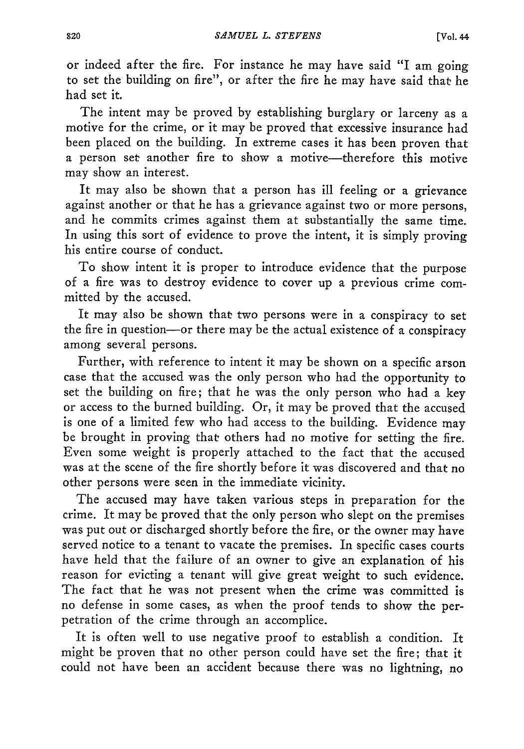or indeed after the fire. For instance he may have said "I am going to set the building on fire", or after the fire he may have said that he had set it.

The intent may be proved by establishing burglary or larceny as a motive for the crime, or it may be proved that excessive insurance had been placed on the building. In extreme cases it has been proven that a person set another fire to show a motive-therefore this motive may show an interest.

It may also be shown that a person has ill feeling or a grievance against another or that he has a grievance against two or more persons, and he commits crimes against them at substantially the same time. In using this sort of evidence to prove the intent, it is simply proving his entire course of conduct.

To show intent it is proper to introduce evidence that the purpose of a fire was to destroy evidence to cover up a previous crime committed by the accused.

It may also be shown that two persons were in a conspiracy to set the fire in question-or there may be the actual existence of a conspiracy among several persons.

Further, with reference to intent it may be shown on a specific arson case that the accused was the only person who had the opportunity to set the building on fire; that he was the only person who had a key or access to the burned building. Or, it may be proved that the accused is one of a limited few who had access to the building. Evidence may be brought in proving that others had no motive for setting the fire. Even some weight is properly attached to the fact that the accused was at the scene of the fire shortly before it was discovered and that no other persons were seen in the immediate vicinity.

The accused may have taken various steps in preparation for the crime. It may be proved that the only person who slept on the premises was put out or discharged shortly before the fire, or the owner may have served notice to a tenant to vacate the premises. In specific cases courts have held that the failure of an owner to give an explanation of his reason for evicting a tenant will give great weight to such evidence. The fact that he was not present when the crime was committed is no defense in some cases, as when the proof tends to show the perpetration of the crime through an accomplice.

It is often well to use negative proof to establish a condition. It might be proven that no other person could have set the fire; that it could not have been an accident because there was no lightning, no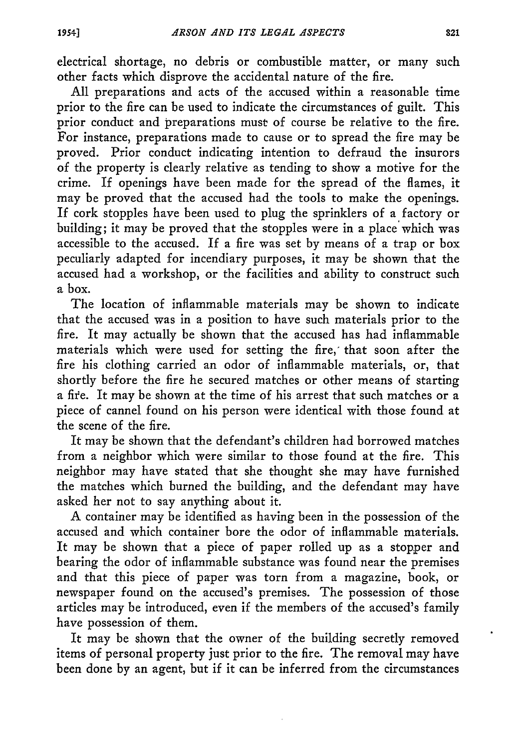electrical shortage, no debris or combustible matter, or many such other facts which disprove the accidental nature of the fire.

**All** preparations and acts of the accused within a reasonable time prior to the fire can be used to indicate the circumstances of guilt. This prior conduct and preparations must of course be relative to the fire. For instance, preparations made to cause or to spread the fire may be proved. Prior conduct indicating intention to defraud the insurors of the property is clearly relative as tending to show a motive for the crime. If openings have been made for the spread of the flames, it may be proved that the accused had the tools to make the openings. If cork stopples have been used to plug the sprinklers of a factory or building; it may be proved that the stopples were in a place which was accessible to the accused. If a fire was set **by** means of a trap or box peculiarly adapted for incendiary purposes, it may be shown that the accused had a workshop, or the facilities and ability to construct such a box.

The location of inflammable materials may be shown to indicate that the accused was in a position to have such materials prior to the fire. It may actually be shown that the accused has had inflammable materials which were used for setting the fire,' that soon after the fire his clothing carried an odor of inflammable materials, or, that shortly before the fire he secured matches or other means of starting a fife. It may be shown at the time of his arrest that such matches or a piece of cannel found on his person were identical with those found at the scene of the fire.

It may be shown that the defendant's children had borrowed matches from a neighbor which were similar to those found at the fire. This neighbor may have stated that she thought she may have furnished the matches which burned the building, and the defendant may have asked her not to say anything about it.

A container may be identified as having been in the possession of the accused and which container bore the odor of inflammable materials. It may be shown that a piece of paper rolled up as a stopper and bearing the odor of inflammable substance was found near the premises and that this piece of paper was torn from a magazine, book, or newspaper found on the accused's premises. The possession of those articles may be introduced, even if the members of the accused's family have possession of them.

It may be shown that the owner of the building secretly removed items of personal property just prior to the fire. The removal may have been done by an agent, but if it can be inferred from the circumstances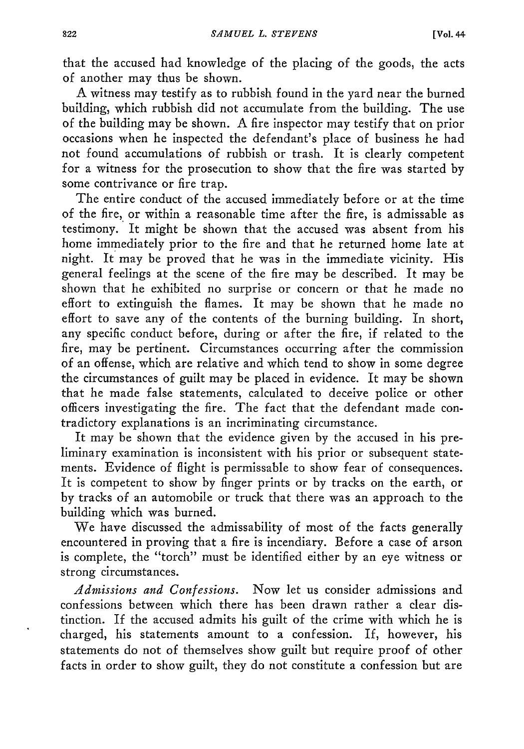that the accused had knowledge of the placing of the goods, the acts of another may thus be shown.

A witness may testify as to rubbish found in the yard near the burned building, which rubbish did not accumulate from the building. The use of the building may be shown. A fire inspector may testify that on prior occasions when he inspected the defendant's place of business he had not found accumulations of rubbish or trash. It is clearly competent for a witness for the prosecution to show that the fire was started by some contrivance or fire trap.

The entire conduct of the accused immediately before or at the time of the fire, or within a reasonable time after the fire, is admissable as testimony. It might be shown that the accused was absent from his home immediately prior to the fire and that he returned home late at night. It may be proved that he was in the immediate vicinity. His general feelings at the scene of the fire may be described. It may be shown that he exhibited no surprise or concern or that he made no effort to extinguish the flames. It may be shown that he made no effort to save any of the contents of the burning building. In short, any specific conduct before, during or after the fire, if related to the fire, may be pertinent. Circumstances occurring after the commission of an offense, which are relative and which tend to show in some degree the circumstances of guilt may be placed in evidence. It may be shown that he made false statements, calculated to deceive police or other officers investigating the fire. The fact that the defendant made contradictory explanations is an incriminating circumstance.

It may be shown that the evidence given by the accused in his preliminary examination is inconsistent with his prior or subsequent statements. Evidence of flight is permissable to show fear of consequences. It is competent to show by finger prints or by tracks on the earth, or by tracks of an automobile or truck that there was an approach to the building which was burned.

We have discussed the admissability of most of the facts generally encountered in proving that a fire is incendiary. Before a case of arson is complete, the "torch" must be identified either by an eye witness or strong circumstances.

*Admissions and Confessions.* Now let us consider admissions and confessions between which there has been drawn rather a dear distinction. If the accused admits his guilt of the crime with which he is charged, his statements amount to a confession. If, however, his statements do not of themselves show guilt but require proof of other facts in order to show guilt, they do not constitute a confession but are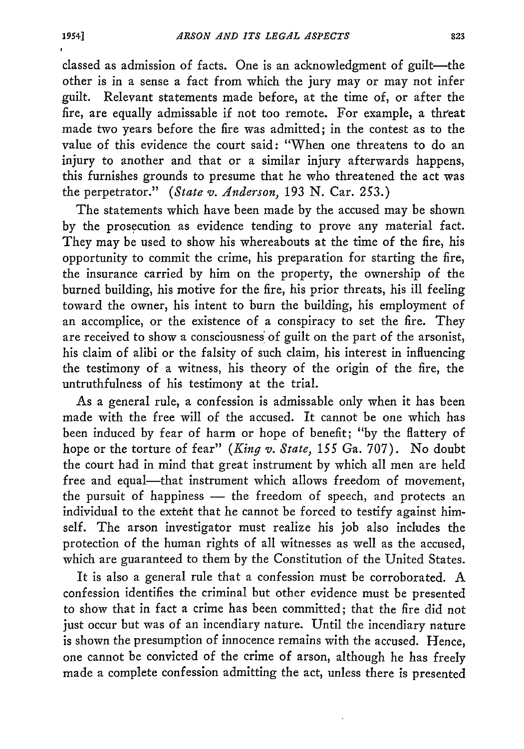classed as admission of facts. One is an acknowledgment of guilt-the other is in a sense a fact from which the jury may or may not infer guilt. Relevant statements made before, at the time of, or after the fire, are equally admissable if not too remote. For example, a threat made two years before the fire was admitted; in the contest as to the value of this evidence the court said: "When one threatens to do an injury to another and that or a similar injury afterwards happens, this furnishes grounds to presume that he who threatened the act was the perpetrator." *(State v. Anderson,* **193** N. Car. 253.)

The statements which have been made by the accused may be shown by the prosecution as evidence tending to prove any material fact. They may be used to show his whereabouts at the time of the fire, his opportunity to commit the crime, his preparation for starting the fire, the insurance carried by him on the property, the ownership of the burned building, his motive for the fire, his prior threats, his ill feeling toward the owner, his intent to burn the building, his employment of an accomplice, or the existence of a conspiracy to set the fire. They are received to show a consciousness of guilt on the part of the arsonist, his claim of alibi or the falsity of such claim, his interest in influencing the testimony of a witness, his theory of the origin of the fire, the untruthfulness of his testimony at the trial.

As a general rule, a confession is admissable only when it has been made with the free will of the accused. It cannot be one which has been induced by fear of harm or hope of benefit; "by the flattery of hope or the torture of fear" *(King v. State, 155* Ga. 707). No doubt the court had in mind that great instrument by which all men are held free and equal-that instrument which allows freedom of movement, the pursuit of happiness - the freedom of speech, and protects an individual to the exteht that he cannot be forced to testify against himself. The arson investigator must realize his job also includes the protection of the human rights of all witnesses as well as the accused, which are guaranteed to them by the Constitution of the United States.

It is also a general rule that a confession must be corroborated. A confession identifies the criminal but other evidence must be presented to show that in fact a crime has been committed; that the fire did not just occur but was of an incendiary nature. Until the incendiary nature is shown the presumption of innocence remains with the accused. Hence, one cannot be convicted of the crime of arson, although he has freely made a complete confession admitting the act, unless there is presented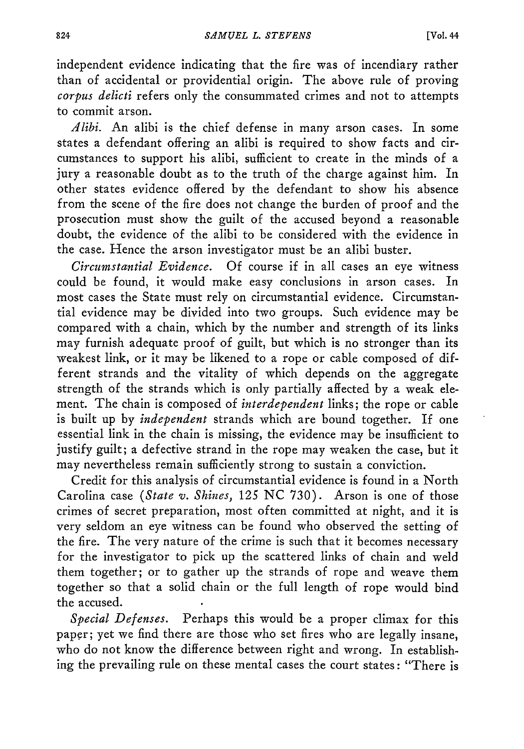independent evidence indicating that the fire was of incendiary rather than of accidental or providential origin. The above rule of proving *corpus delicti* refers only the consummated crimes and not to attempts to commit arson.

*Alibi.* An alibi is the chief defense in many arson cases. In some states a defendant offering an alibi is required to show facts and circumstances to support his alibi, sufficient to create in the minds of a jury a reasonable doubt as to the truth of the charge against him. In other states evidence offered by the defendant to show his absence from the scene of the fire does not change the burden of proof and the prosecution must show the guilt of the accused beyond a reasonable doubt, the evidence of the alibi to be considered with the evidence in the case. Hence the arson investigator must be an alibi buster.

*Circumstantial Evidence.* Of course if in all cases an eye witness could be found, it would make easy conclusions in arson cases. In most cases the State must rely on circumstantial evidence. Circumstantial evidence may be divided into two groups. Such evidence may be compared with a chain, which by the number and strength of its links may furnish adequate proof of guilt, but which is no stronger than its weakest link, or it may be likened to a rope or cable composed of different strands and the vitality of which depends on the aggregate strength of the strands which is only partially affected by a weak element. The chain is composed of *interdependent* links; the rope or cable is built up by *independent* strands which are bound together. If one essential link in the chain is missing, the evidence may be insufficient to justify guilt; a defective strand in the rope may weaken the case, but it may nevertheless remain sufficiently strong to sustain a conviction.

Credit for this analysis of circumstantial evidence is found in a North Carolina case *(State v. Shines,* 125 NC 730). Arson is one of those crimes of secret preparation, most often committed at night, and it is very seldom an eye witness can be found who observed the setting of the fire. The very nature of the crime is such that it becomes necessary for the investigator to pick up the scattered links of chain and weld them together; or to gather up the strands of rope and weave them together so that a solid chain or the full length of rope would bind the accused.

*Special Defenses.* Perhaps this would be a proper climax for this paper; yet we find there are those who set fires who are legally insane, who do not know the difference between right and wrong. In establishing the prevailing rule on these mental cases the court states: "There is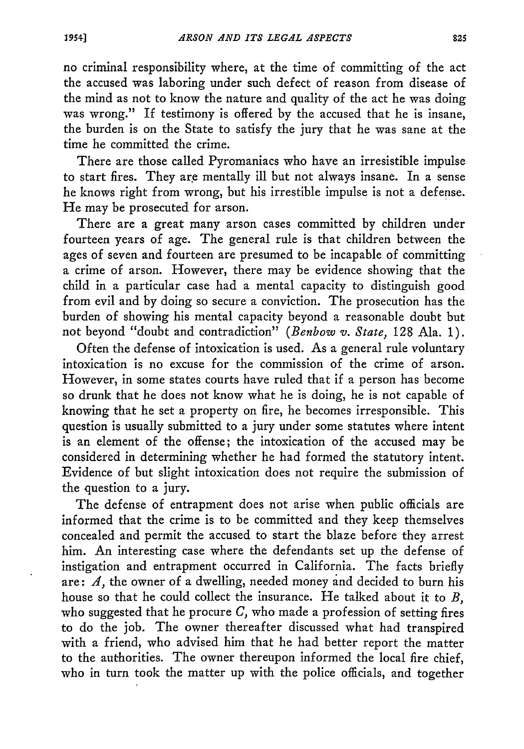no criminal responsibility where, at the time of committing of the act the accused was laboring under such defect of reason from disease of the mind as not to know the nature and quality of the act he was doing was wrong." If testimony is offered by the accused that he is insane, the burden is on the State to satisfy the jury that he was sane at the time he committed the crime.

There are those called Pyromaniacs who have an irresistible impulse to start fires. They are mentally ill but not always insane. In a sense he knows right from wrong, but his irrestible impulse is not a defense. He may be prosecuted for arson.

There are a great many arson cases committed by children under fourteen years of age. The general rule is that children between the ages of seven and fourteen are presumed to be incapable of committing a crime of arson. However, there may be evidence showing that the child in a particular case had a mental capacity to distinguish good from evil and by doing so secure a conviction. The prosecution has the burden of showing his mental capacity beyond a reasonable doubt but not beyond "doubt and contradiction" *(Benbow v. State,* 128 Ala. **1).**

Often the defense of intoxication is used. As a general rule voluntary intoxication is no excuse for the commission of the crime of arson. However, in some states courts have ruled that if a person has become so drunk that he does not know what he is doing, he is not capable of knowing that he set a property on fire, he becomes irresponsible. This question is usually submitted to a jury under some statutes where intent is an element of the offense; the intoxication of the accused may be considered in determining whether he had formed the statutory intent. Evidence of but slight intoxication does not require the submission of the question to a jury.

The defense of entrapment does not arise when public officials are informed that the crime is to be committed and they keep themselves concealed and permit the accused to start the blaze before they arrest him. An interesting case where the defendants set up the defense of instigation and entrapment occurred in California. The facts briefly are:  $A$ , the owner of a dwelling, needed money and decided to burn his house so that he could collect the insurance. He talked about it to *B,* who suggested that he procure *C,* who made a profession of setting fires to do the job. The owner thereafter discussed what had transpired with a friend, who advised him that he had better report the matter to the authorities. The owner thereupon informed the local fire chief, who in turn took the matter up with the police officials, and together